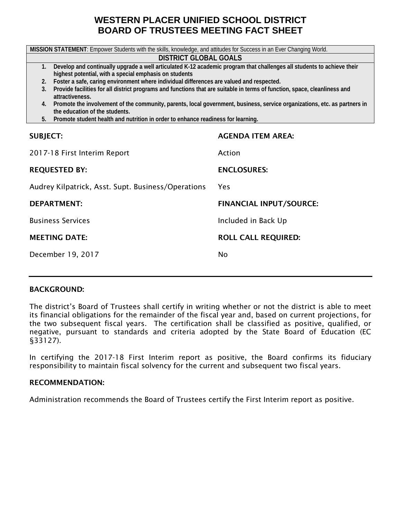# **WESTERN PLACER UNIFIED SCHOOL DISTRICT BOARD OF TRUSTEES MEETING FACT SHEET**

| MISSION STATEMENT: Empower Students with the skills, knowledge, and attitudes for Success in an Ever Changing World.                                           |                                |  |  |  |  |  |  |
|----------------------------------------------------------------------------------------------------------------------------------------------------------------|--------------------------------|--|--|--|--|--|--|
| <b>DISTRICT GLOBAL GOALS</b>                                                                                                                                   |                                |  |  |  |  |  |  |
| Develop and continually upgrade a well articulated K-12 academic program that challenges all students to achieve their<br>1.                                   |                                |  |  |  |  |  |  |
| highest potential, with a special emphasis on students                                                                                                         |                                |  |  |  |  |  |  |
| 2. Foster a safe, caring environment where individual differences are valued and respected.<br>3.                                                              |                                |  |  |  |  |  |  |
| Provide facilities for all district programs and functions that are suitable in terms of function, space, cleanliness and<br>attractiveness.                   |                                |  |  |  |  |  |  |
| 4. Promote the involvement of the community, parents, local government, business, service organizations, etc. as partners in<br>the education of the students. |                                |  |  |  |  |  |  |
| 5. Promote student health and nutrition in order to enhance readiness for learning.                                                                            |                                |  |  |  |  |  |  |
|                                                                                                                                                                |                                |  |  |  |  |  |  |
| <b>SUBJECT:</b>                                                                                                                                                | <b>AGENDA ITEM AREA:</b>       |  |  |  |  |  |  |
|                                                                                                                                                                |                                |  |  |  |  |  |  |
| 2017-18 First Interim Report                                                                                                                                   | Action                         |  |  |  |  |  |  |
|                                                                                                                                                                |                                |  |  |  |  |  |  |
| <b>REQUESTED BY:</b>                                                                                                                                           | <b>ENCLOSURES:</b>             |  |  |  |  |  |  |
| Audrey Kilpatrick, Asst. Supt. Business/Operations                                                                                                             | Yes                            |  |  |  |  |  |  |
|                                                                                                                                                                |                                |  |  |  |  |  |  |
| <b>DEPARTMENT:</b>                                                                                                                                             | <b>FINANCIAL INPUT/SOURCE:</b> |  |  |  |  |  |  |
| <b>Business Services</b>                                                                                                                                       | Included in Back Up            |  |  |  |  |  |  |
|                                                                                                                                                                |                                |  |  |  |  |  |  |
| <b>MEETING DATE:</b><br><b>ROLL CALL REQUIRED:</b>                                                                                                             |                                |  |  |  |  |  |  |
| December 19, 2017<br><b>No</b>                                                                                                                                 |                                |  |  |  |  |  |  |
|                                                                                                                                                                |                                |  |  |  |  |  |  |
|                                                                                                                                                                |                                |  |  |  |  |  |  |

#### BACKGROUND:

The district's Board of Trustees shall certify in writing whether or not the district is able to meet its financial obligations for the remainder of the fiscal year and, based on current projections, for the two subsequent fiscal years. The certification shall be classified as positive, qualified, or negative, pursuant to standards and criteria adopted by the State Board of Education (EC §33127).

In certifying the 2017-18 First Interim report as positive, the Board confirms its fiduciary responsibility to maintain fiscal solvency for the current and subsequent two fiscal years.

#### RECOMMENDATION:

Administration recommends the Board of Trustees certify the First Interim report as positive.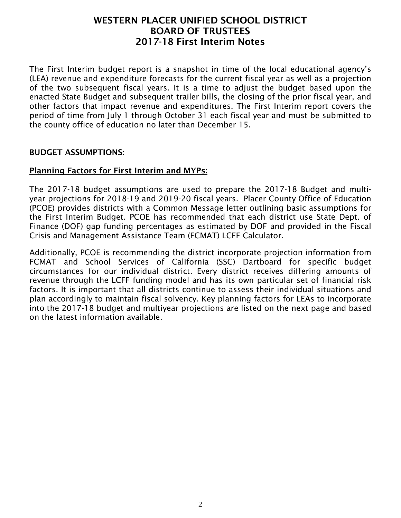The First Interim budget report is a snapshot in time of the local educational agency's (LEA) revenue and expenditure forecasts for the current fiscal year as well as a projection of the two subsequent fiscal years. It is a time to adjust the budget based upon the enacted State Budget and subsequent trailer bills, the closing of the prior fiscal year, and other factors that impact revenue and expenditures. The First Interim report covers the period of time from July 1 through October 31 each fiscal year and must be submitted to the county office of education no later than December 15.

#### BUDGET ASSUMPTIONS:

#### Planning Factors for First Interim and MYPs:

The 2017-18 budget assumptions are used to prepare the 2017-18 Budget and multiyear projections for 2018-19 and 2019-20 fiscal years. Placer County Office of Education (PCOE) provides districts with a Common Message letter outlining basic assumptions for the First Interim Budget. PCOE has recommended that each district use State Dept. of Finance (DOF) gap funding percentages as estimated by DOF and provided in the Fiscal Crisis and Management Assistance Team (FCMAT) LCFF Calculator.

Additionally, PCOE is recommending the district incorporate projection information from FCMAT and School Services of California (SSC) Dartboard for specific budget circumstances for our individual district. Every district receives differing amounts of revenue through the LCFF funding model and has its own particular set of financial risk factors. It is important that all districts continue to assess their individual situations and plan accordingly to maintain fiscal solvency. Key planning factors for LEAs to incorporate into the 2017-18 budget and multiyear projections are listed on the next page and based on the latest information available.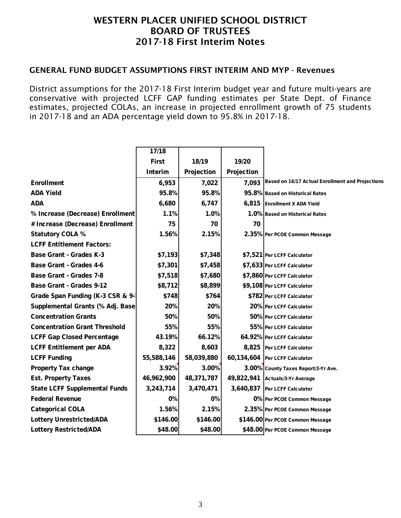#### GENERAL FUND BUDGET ASSUMPTIONS FIRST INTERIM AND MYP - Revenues

District assumptions for the 2017-18 First Interim budget year and future multi-years are conservative with projected LCFF GAP funding estimates per State Dept. of Finance estimates, projected COLAs, an increase in projected enrollment growth of 75 students in 2017-18 and an ADA percentage yield down to 95.8% in 2017-18.

|                                      | 17/18        |            |            |                                                  |
|--------------------------------------|--------------|------------|------------|--------------------------------------------------|
|                                      | <b>First</b> | 18/19      | 19/20      |                                                  |
|                                      | Interim      | Projection | Projection |                                                  |
| <b>Enrollment</b>                    | 6,953        | 7,022      | 7,093      | Based on 16/17 Actual Enrollment and Projections |
| <b>ADA Yield</b>                     | 95.8%        | 95.8%      |            | 95.8% Based on Historical Rates                  |
| <b>ADA</b>                           | 6,680        | 6,747      | 6,815      | <b>Enrollment X ADA Yield</b>                    |
| % Increase (Decrease) Enrollment     | 1.1%         | 1.0%       |            | 1.0% Based on Historical Rates                   |
| # Increase (Decrease) Enrollment     | 75           | 70         | 70         |                                                  |
| <b>Statutory COLA %</b>              | 1.56%        | 2.15%      |            | 2.35% Per PCOE Common Message                    |
| <b>LCFF Entitlement Factors:</b>     |              |            |            |                                                  |
| <b>Base Grant - Grades K-3</b>       | \$7,193      | \$7,348    |            | \$7,521 Per LCFF Calculator                      |
| <b>Base Grant - Grades 4-6</b>       | \$7,301      | \$7,458    |            | \$7,633 Per LCFF Calculator                      |
| <b>Base Grant - Grades 7-8</b>       | \$7,518      | \$7,680    |            | \$7,860 Per LCFF Calculator                      |
| <b>Base Grant - Grades 9-12</b>      | \$8,712      | \$8,899    |            | \$9,108 Per LCFF Calculator                      |
| Grade Span Funding (K-3 CSR & 9-     | \$748        | \$764      |            | \$782 Per LCFF Calculator                        |
| Supplemental Grants (% Adj. Base)    | 20%          | 20%        |            | 20% Per LCFF Calculator                          |
| <b>Concentration Grants</b>          | 50%          | 50%        |            | 50% Per LCFF Calculator                          |
| <b>Concentration Grant Threshold</b> | 55%          | 55%        |            | 55% Per LCFF Calculator                          |
| <b>LCFF Gap Closed Percentage</b>    | 43.19%       | 66.12%     |            | 64.92% Per LCFF Calculator                       |
| <b>LCFF Entitlement per ADA</b>      | 8,322        | 8,603      |            | 8,825 Per LCFF Calculator                        |
| <b>LCFF Funding</b>                  | 55,588,146   | 58,039,880 |            | 60,134,604 Per LCFF Calculator                   |
| <b>Property Tax change</b>           | 3.92%        | 3.00%      |            | 3.00% County Taxes Report/3-Yr Ave.              |
| <b>Est. Property Taxes</b>           | 46,962,900   | 48,371,787 |            | 49,822,941 Actuals/3-Yr Average                  |
| <b>State LCFF Supplemental Funds</b> | 3,243,714    | 3,470,471  | 3,640,837  | Per LCFF Calculator                              |
| <b>Federal Revenue</b>               | 0%           | 0%         |            | 0% Per PCOE Common Message                       |
| <b>Categorical COLA</b>              | 1.56%        | 2.15%      |            | 2.35% Per PCOE Common Message                    |
| <b>Lottery Unrestricted/ADA</b>      | \$146.00     | \$146.00   |            | \$146.00 Per PCOE Common Message                 |
| <b>Lottery Restricted/ADA</b>        | \$48.00      | \$48.00    |            | \$48.00 Per PCOE Common Message                  |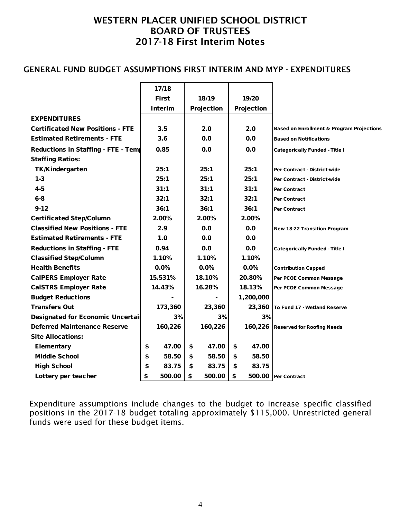#### GENERAL FUND BUDGET ASSUMPTIONS FIRST INTERIM AND MYP - EXPENDITURES

|                                          | 17/18          |    |              |             |                                                      |
|------------------------------------------|----------------|----|--------------|-------------|------------------------------------------------------|
|                                          | <b>First</b>   |    | 18/19        | 19/20       |                                                      |
|                                          | <b>Interim</b> |    | Projection   | Projection  |                                                      |
| <b>EXPENDITURES</b>                      |                |    |              |             |                                                      |
| <b>Certificated New Positions - FTE</b>  | 3.5            |    | 2.0          | 2.0         | <b>Based on Enrollment &amp; Program Projections</b> |
| <b>Estimated Retirements - FTE</b>       | 3.6            |    | 0.0          | 0.0         | <b>Based on Notifications</b>                        |
| Reductions in Staffing - FTE - Tem       | 0.85           |    | 0.0          | 0.0         | <b>Categorically Funded - Title I</b>                |
| <b>Staffing Ratios:</b>                  |                |    |              |             |                                                      |
| <b>TK/Kindergarten</b>                   | 25:1           |    | 25:1         | 25:1        | Per Contract - District-wide                         |
| $1 - 3$                                  | 25:1           |    | 25:1         | 25:1        | Per Contract - District-wide                         |
| $4 - 5$                                  | 31:1           |    | 31:1         | 31:1        | <b>Per Contract</b>                                  |
| $6 - 8$                                  | 32:1           |    | 32:1         | 32:1        | <b>Per Contract</b>                                  |
| $9 - 12$                                 | 36:1           |    | 36:1         | 36:1        | <b>Per Contract</b>                                  |
| <b>Certificated Step/Column</b>          | 2.00%          |    | 2.00%        | 2.00%       |                                                      |
| <b>Classified New Positions - FTE</b>    | 2.9            |    | 0.0          | 0.0         | <b>New 18-22 Transition Program</b>                  |
| <b>Estimated Retirements - FTE</b>       | 1.0            |    | 0.0          | 0.0         |                                                      |
| <b>Reductions in Staffing - FTE</b>      | 0.94           |    | 0.0          | 0.0         | <b>Categorically Funded - Title I</b>                |
| <b>Classified Step/Column</b>            | 1.10%          |    | 1.10%        | 1.10%       |                                                      |
| <b>Health Benefits</b>                   | 0.0%           |    | 0.0%         | 0.0%        | <b>Contribution Capped</b>                           |
| <b>CalPERS Employer Rate</b>             | 15.531%        |    | 18.10%       | 20.80%      | Per PCOE Common Message                              |
| <b>CalSTRS Employer Rate</b>             | 14.43%         |    | 16.28%       | 18.13%      | Per PCOE Common Message                              |
| <b>Budget Reductions</b>                 |                |    |              | 1,200,000   |                                                      |
| <b>Transfers Out</b>                     | 173,360        |    | 23,360       | 23,360      | To Fund 17 - Wetland Reserve                         |
| <b>Designated for Economic Uncertail</b> |                | 3% | 3%           | 3%          |                                                      |
| <b>Deferred Maintenance Reserve</b>      | 160,226        |    | 160,226      | 160,226     | <b>Reserved for Roofing Needs</b>                    |
| <b>Site Allocations:</b>                 |                |    |              |             |                                                      |
| Elementary                               | 47.00<br>\$    |    | \$<br>47.00  | \$<br>47.00 |                                                      |
| <b>Middle School</b>                     | \$<br>58.50    |    | \$<br>58.50  | \$<br>58.50 |                                                      |
| <b>High School</b>                       | \$<br>83.75    |    | 83.75<br>\$  | \$<br>83.75 |                                                      |
| Lottery per teacher                      | \$<br>500.00   |    | \$<br>500.00 | \$          | 500.00 Per Contract                                  |

Expenditure assumptions include changes to the budget to increase specific classified positions in the 2017-18 budget totaling approximately \$115,000. Unrestricted general funds were used for these budget items.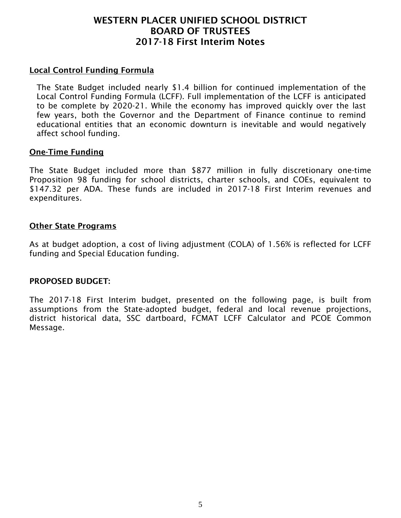#### Local Control Funding Formula

The State Budget included nearly \$1.4 billion for continued implementation of the Local Control Funding Formula (LCFF). Full implementation of the LCFF is anticipated to be complete by 2020-21. While the economy has improved quickly over the last few years, both the Governor and the Department of Finance continue to remind educational entities that an economic downturn is inevitable and would negatively affect school funding.

#### One-Time Funding

The State Budget included more than \$877 million in fully discretionary one-time Proposition 98 funding for school districts, charter schools, and COEs, equivalent to \$147.32 per ADA. These funds are included in 2017-18 First Interim revenues and expenditures.

#### Other State Programs

As at budget adoption, a cost of living adjustment (COLA) of 1.56% is reflected for LCFF funding and Special Education funding.

#### PROPOSED BUDGET:

The 2017-18 First Interim budget, presented on the following page, is built from assumptions from the State-adopted budget, federal and local revenue projections, district historical data, SSC dartboard, FCMAT LCFF Calculator and PCOE Common Message.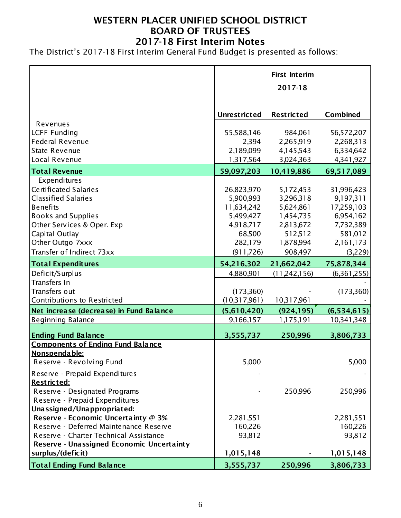The District's 2017-18 First Interim General Fund Budget is presented as follows:

|                                           |                     | <b>First Interim</b><br>2017-18 |               |
|-------------------------------------------|---------------------|---------------------------------|---------------|
|                                           | <b>Unrestricted</b> | <b>Restricted</b>               | Combined      |
| Revenues                                  |                     |                                 |               |
| <b>LCFF Funding</b>                       | 55,588,146          | 984,061                         | 56, 572, 207  |
| <b>Federal Revenue</b>                    | 2,394               | 2,265,919                       | 2,268,313     |
| <b>State Revenue</b>                      | 2,189,099           | 4,145,543                       | 6,334,642     |
| Local Revenue                             | 1,317,564           | 3,024,363                       | 4,341,927     |
| <b>Total Revenue</b>                      | 59,097,203          | 10,419,886                      | 69,517,089    |
| Expenditures                              |                     |                                 |               |
| <b>Certificated Salaries</b>              | 26,823,970          | 5,172,453                       | 31,996,423    |
| <b>Classified Salaries</b>                | 5,900,993           | 3,296,318                       | 9,197,311     |
| <b>Benefits</b>                           | 11,634,242          | 5,624,861                       | 17,259,103    |
| <b>Books and Supplies</b>                 | 5,499,427           | 1,454,735                       | 6,954,162     |
| Other Services & Oper. Exp                | 4,918,717           | 2,813,672                       | 7,732,389     |
| Capital Outlay                            | 68,500              | 512,512                         | 581,012       |
| Other Outgo 7xxx                          | 282,179             | 1,878,994                       | 2,161,173     |
| Transfer of Indirect 73xx                 | (911, 726)          | 908,497                         | (3,229)       |
| <b>Total Expenditures</b>                 | 54,216,302          | 21,662,042                      | 75,878,344    |
| Deficit/Surplus                           | 4,880,901           | (11,242,156)                    | (6,361,255)   |
| Transfers In                              |                     |                                 |               |
| Transfers out                             | (173,360)           |                                 | (173,360)     |
| <b>Contributions to Restricted</b>        | (10,317,961)        | 10,317,961                      |               |
| Net increase (decrease) in Fund Balance   | (5,610,420)         | (924, 195)                      | (6, 534, 615) |
| <b>Beginning Balance</b>                  | 9,166,157           | 1,175,191                       | 10,341,348    |
| <b>Ending Fund Balance</b>                | 3,555,737           | 250,996                         | 3,806,733     |
| <b>Components of Ending Fund Balance</b>  |                     |                                 |               |
| Nonspendable:                             |                     |                                 |               |
| Reserve - Revolving Fund                  | 5,000               |                                 | 5,000         |
| Reserve - Prepaid Expenditures            |                     |                                 |               |
| <b>Restricted:</b>                        |                     |                                 |               |
| Reserve - Designated Programs             |                     | 250,996                         | 250,996       |
| Reserve - Prepaid Expenditures            |                     |                                 |               |
| Unassigned/Unappropriated:                |                     |                                 |               |
| Reserve - Economic Uncertainty @ 3%       | 2,281,551           |                                 | 2,281,551     |
| Reserve - Deferred Maintenance Reserve    | 160,226             |                                 | 160,226       |
| Reserve - Charter Technical Assistance    | 93,812              |                                 | 93,812        |
| Reserve - Unassigned Economic Uncertainty |                     |                                 |               |
| surplus/(deficit)                         | 1,015,148           |                                 | 1,015,148     |
| <b>Total Ending Fund Balance</b>          | 3,555,737           | 250,996                         | 3,806,733     |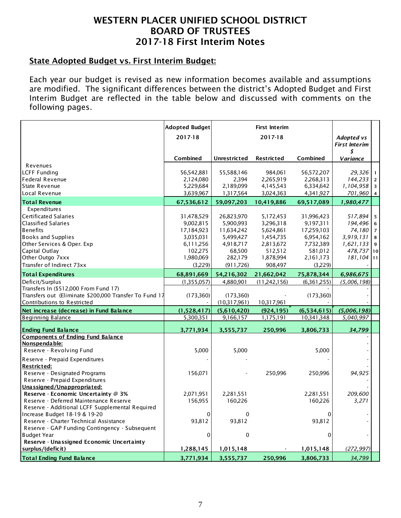## State Adopted Budget vs. First Interim Budget:

Each year our budget is revised as new information becomes available and assumptions are modified. The significant differences between the district's Adopted Budget and First Interim Budget are reflected in the table below and discussed with comments on the following pages.

|                                                        | <b>Adopted Budget</b>  |                     | <b>First Interim</b> |                         |                         |              |
|--------------------------------------------------------|------------------------|---------------------|----------------------|-------------------------|-------------------------|--------------|
|                                                        | 2017-18                |                     | 2017-18              |                         | Adopted vs              |              |
|                                                        |                        |                     |                      |                         | <b>First Interim</b>    |              |
|                                                        |                        |                     |                      |                         | \$                      |              |
|                                                        | Combined               | <b>Unrestricted</b> | <b>Restricted</b>    | Combined                | Variance                |              |
| Revenues                                               |                        |                     |                      |                         |                         |              |
| <b>LCFF Funding</b><br><b>Federal Revenue</b>          | 56,542,881             | 55,588,146<br>2,394 | 984,061<br>2,265,919 | 56,572,207<br>2,268,313 | 29,326<br>$144,233$   2 | $\mathbf{1}$ |
| State Revenue                                          | 2,124,080<br>5,229,684 | 2,189,099           | 4,145,543            | 6,334,642               | $1,104,958$ 3           |              |
| Local Revenue                                          | 3,639,967              | 1,317,564           | 3,024,363            | 4,341,927               | $701,960$ 4             |              |
|                                                        |                        |                     |                      |                         |                         |              |
| <b>Total Revenue</b>                                   | 67,536,612             | 59,097,203          | 10,419,886           | 69,517,089              | 1,980,477               |              |
| Expenditures                                           |                        |                     |                      |                         |                         |              |
| Certificated Salaries                                  | 31,478,529             | 26,823,970          | 5,172,453            | 31,996,423              | $517,894$ 5             |              |
| <b>Classified Salaries</b>                             | 9,002,815              | 5,900,993           | 3,296,318            | 9,197,311               | $194,496$ 6             |              |
| <b>Benefits</b>                                        | 17,184,923             | 11,634,242          | 5,624,861            | 17,259,103              | $74,180$ 7              |              |
| <b>Books and Supplies</b>                              | 3,035,031              | 5,499,427           | 1,454,735            | 6,954,162               | $3,919,131$ 8           |              |
| Other Services & Oper. Exp                             | 6,111,256              | 4,918,717           | 2,813,672            | 7,732,389               | $1,621,133$ 9           |              |
| Capital Outlay                                         | 102,275                | 68,500              | 512,512              | 581,012                 | 478,737 10              |              |
| Other Outgo 7xxx                                       | 1,980,069              | 282,179             | 1,878,994            | 2,161,173               | $181, 104$   11         |              |
| Transfer of Indirect 73xx                              | (3,229)                | (911, 726)          | 908,497              | (3,229)                 |                         |              |
| <b>Total Expenditures</b>                              | 68,891,669             | 54,216,302          | 21,662,042           | 75,878,344              | 6,986,675               |              |
| Deficit/Surplus                                        | (1,355,057)            | 4,880,901           | (11,242,156)         | (6,361,255)             | (5,006,198)             |              |
| Transfers In (\$512,000 From Fund 17)                  |                        |                     |                      |                         |                         |              |
| Transfers out (Eliminate \$200,000 Transfer To Fund 17 | (173,360)              | (173,360)           |                      | (173,360)               |                         |              |
| Contributions to Restricted                            |                        | (10,317,961)        | 10,317,961           |                         |                         |              |
| Net increase (decrease) in Fund Balance                | (1,528,417)            | (5,610,420)         | (924, 195)           | (6,534,615)             | (5,006,198)             |              |
| <b>Beginning Balance</b>                               | 5,300,351              | 9,166,157           | 1,175,191            | 10,341,348              | 5,040,997               |              |
| <b>Ending Fund Balance</b>                             | 3,771,934              | 3,555,737           | 250,996              | 3,806,733               | 34,799                  |              |
| <b>Components of Ending Fund Balance</b>               |                        |                     |                      |                         |                         |              |
| Nonspendable:                                          |                        |                     |                      |                         |                         |              |
| Reserve - Revolving Fund                               | 5,000                  | 5,000               |                      | 5,000                   |                         |              |
| Reserve - Prepaid Expenditures                         |                        |                     |                      |                         |                         |              |
| <b>Restricted:</b>                                     |                        |                     |                      |                         |                         |              |
| Reserve - Designated Programs                          | 156,071                |                     | 250,996              | 250,996                 | 94,925                  |              |
| Reserve - Prepaid Expenditures                         |                        |                     |                      |                         |                         |              |
| Unassigned/Unappropriated:                             |                        |                     |                      |                         |                         |              |
| Reserve - Economic Uncertainty @ 3%                    | 2,071,951              | 2,281,551           |                      | 2,281,551               | 209,600                 |              |
| Reserve - Deferred Maintenance Reserve                 | 156,955                | 160,226             |                      | 160,226                 | 3,271                   |              |
| Reserve - Additional LCFF Supplemental Required        |                        |                     |                      |                         |                         |              |
| Increase Budget 18-19 & 19-20                          | 0                      | 0                   |                      | 0                       |                         |              |
| Reserve - Charter Technical Assistance                 | 93,812                 | 93,812              |                      | 93,812                  |                         |              |
| Reserve - GAP Funding Contingency - Subsequent         |                        |                     |                      |                         |                         |              |
| <b>Budget Year</b>                                     | 0                      | 0                   |                      | 0                       |                         |              |
| Reserve - Unassigned Economic Uncertainty              |                        |                     |                      |                         |                         |              |
| surplus/(deficit)                                      | 1,288,145              | 1,015,148           |                      | 1,015,148               | (272, 997)              |              |
| <b>Total Ending Fund Balance</b>                       | 3,771,934              | 3,555,737           | 250,996              | 3,806,733               | 34,799                  |              |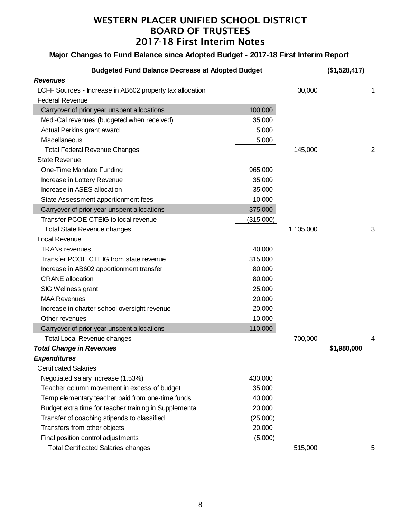## **Major Changes to Fund Balance since Adopted Budget - 2017-18 First Interim Report**

| <b>Budgeted Fund Balance Decrease at Adopted Budget</b>  |           |           | (\$1,528,417) |                |
|----------------------------------------------------------|-----------|-----------|---------------|----------------|
| <b>Revenues</b>                                          |           |           |               |                |
| LCFF Sources - Increase in AB602 property tax allocation |           | 30,000    |               | 1              |
| <b>Federal Revenue</b>                                   |           |           |               |                |
| Carryover of prior year unspent allocations              | 100,000   |           |               |                |
| Medi-Cal revenues (budgeted when received)               | 35,000    |           |               |                |
| Actual Perkins grant award                               | 5,000     |           |               |                |
| Miscellaneous                                            | 5,000     |           |               |                |
| <b>Total Federal Revenue Changes</b>                     |           | 145,000   |               | $\overline{c}$ |
| <b>State Revenue</b>                                     |           |           |               |                |
| One-Time Mandate Funding                                 | 965,000   |           |               |                |
| Increase in Lottery Revenue                              | 35,000    |           |               |                |
| Increase in ASES allocation                              | 35,000    |           |               |                |
| State Assessment apportionment fees                      | 10,000    |           |               |                |
| Carryover of prior year unspent allocations              | 375,000   |           |               |                |
| Transfer PCOE CTEIG to local revenue                     | (315,000) |           |               |                |
| <b>Total State Revenue changes</b>                       |           | 1,105,000 |               | 3              |
| Local Revenue                                            |           |           |               |                |
| <b>TRANs revenues</b>                                    | 40,000    |           |               |                |
| Transfer PCOE CTEIG from state revenue                   | 315,000   |           |               |                |
| Increase in AB602 apportionment transfer                 | 80,000    |           |               |                |
| <b>CRANE</b> allocation                                  | 80,000    |           |               |                |
| SIG Wellness grant                                       | 25,000    |           |               |                |
| <b>MAA Revenues</b>                                      | 20,000    |           |               |                |
| Increase in charter school oversight revenue             | 20,000    |           |               |                |
| Other revenues                                           | 10,000    |           |               |                |
| Carryover of prior year unspent allocations              | 110,000   |           |               |                |
| <b>Total Local Revenue changes</b>                       |           | 700,000   |               | 4              |
| <b>Total Change in Revenues</b>                          |           |           | \$1,980,000   |                |
| Expenditures                                             |           |           |               |                |
| <b>Certificated Salaries</b>                             |           |           |               |                |
| Negotiated salary increase (1.53%)                       | 430,000   |           |               |                |
| Teacher column movement in excess of budget              | 35,000    |           |               |                |
| Temp elementary teacher paid from one-time funds         | 40,000    |           |               |                |
| Budget extra time for teacher training in Supplemental   | 20,000    |           |               |                |
| Transfer of coaching stipends to classified              | (25,000)  |           |               |                |
| Transfers from other objects                             | 20,000    |           |               |                |
| Final position control adjustments                       | (5,000)   |           |               |                |
| <b>Total Certificated Salaries changes</b>               |           | 515,000   |               | 5              |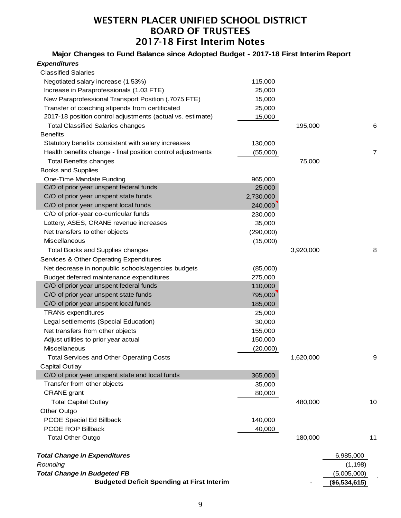**Major Changes to Fund Balance since Adopted Budget - 2017-18 First Interim Report**

| <b>Expenditures</b>                                         |           |           |               |    |
|-------------------------------------------------------------|-----------|-----------|---------------|----|
| <b>Classified Salaries</b>                                  |           |           |               |    |
| Negotiated salary increase (1.53%)                          | 115,000   |           |               |    |
| Increase in Paraprofessionals (1.03 FTE)                    | 25,000    |           |               |    |
| New Paraprofessional Transport Position (.7075 FTE)         | 15,000    |           |               |    |
| Transfer of coaching stipends from certificated             | 25,000    |           |               |    |
| 2017-18 position control adjustments (actual vs. estimate)  | 15,000    |           |               |    |
| <b>Total Classified Salaries changes</b>                    |           | 195,000   |               | 6  |
| <b>Benefits</b>                                             |           |           |               |    |
| Statutory benefits consistent with salary increases         | 130,000   |           |               |    |
| Health benefits change - final position control adjustments | (55,000)  |           |               | 7  |
| <b>Total Benefits changes</b>                               |           | 75,000    |               |    |
| <b>Books and Supplies</b>                                   |           |           |               |    |
| One-Time Mandate Funding                                    | 965,000   |           |               |    |
| C/O of prior year unspent federal funds                     | 25,000    |           |               |    |
| C/O of prior year unspent state funds                       | 2,730,000 |           |               |    |
| C/O of prior year unspent local funds                       | 240,000   |           |               |    |
| C/O of prior-year co-curricular funds                       | 230,000   |           |               |    |
| Lottery, ASES, CRANE revenue increases                      | 35,000    |           |               |    |
| Net transfers to other objects                              | (290,000) |           |               |    |
| Miscellaneous                                               | (15,000)  |           |               |    |
| <b>Total Books and Supplies changes</b>                     |           | 3,920,000 |               | 8  |
| Services & Other Operating Expenditures                     |           |           |               |    |
| Net decrease in nonpublic schools/agencies budgets          | (85,000)  |           |               |    |
| Budget deferred maintenance expenditures                    | 275,000   |           |               |    |
| C/O of prior year unspent federal funds                     | 110,000   |           |               |    |
| C/O of prior year unspent state funds                       | 795,000   |           |               |    |
| C/O of prior year unspent local funds                       | 185,000   |           |               |    |
| <b>TRANs expenditures</b>                                   | 25,000    |           |               |    |
| Legal settlements (Special Education)                       | 30,000    |           |               |    |
| Net transfers from other objects                            | 155,000   |           |               |    |
| Adjust utilities to prior year actual                       | 150,000   |           |               |    |
| <b>Miscellaneous</b>                                        | (20,000)  |           |               |    |
| <b>Total Services and Other Operating Costs</b>             |           | 1,620,000 |               | 9  |
| <b>Capital Outlay</b>                                       |           |           |               |    |
| C/O of prior year unspent state and local funds             | 365,000   |           |               |    |
| Transfer from other objects                                 | 35,000    |           |               |    |
| <b>CRANE</b> grant                                          | 80,000    |           |               |    |
| <b>Total Capital Outlay</b>                                 |           | 480,000   |               | 10 |
| Other Outgo                                                 |           |           |               |    |
| PCOE Special Ed Billback                                    | 140,000   |           |               |    |
| PCOE ROP Billback                                           | 40,000    |           |               |    |
| <b>Total Other Outgo</b>                                    |           | 180,000   |               | 11 |
| <b>Total Change in Expenditures</b>                         |           |           | 6,985,000     |    |
| Rounding                                                    |           |           | (1, 198)      |    |
| <b>Total Change in Budgeted FB</b>                          |           |           | (5,005,000)   |    |
| <b>Budgeted Deficit Spending at First Interim</b>           |           |           | (\$6,534,615) |    |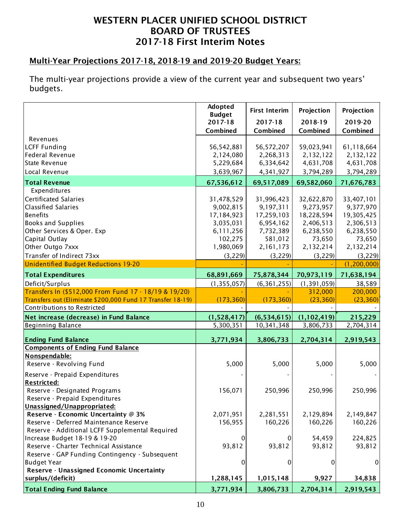## Multi-Year Projections 2017-18, 2018-19 and 2019-20 Budget Years:

The multi-year projections provide a view of the current year and subsequent two years' budgets.

|                                                                                           | Adopted<br><b>Budget</b> | <b>First Interim</b>    | Projection              | Projection              |
|-------------------------------------------------------------------------------------------|--------------------------|-------------------------|-------------------------|-------------------------|
|                                                                                           | 2017-18                  | 2017-18                 | 2018-19                 | 2019-20                 |
|                                                                                           | Combined                 | Combined                | Combined                | Combined                |
| Revenues                                                                                  |                          |                         |                         |                         |
| <b>LCFF Funding</b>                                                                       | 56,542,881               | 56,572,207              | 59,023,941              | 61,118,664              |
| Federal Revenue                                                                           | 2,124,080                | 2,268,313               | 2,132,122               | 2,132,122               |
| <b>State Revenue</b>                                                                      | 5,229,684                | 6,334,642               | 4,631,708               | 4,631,708               |
| Local Revenue                                                                             | 3,639,967                | 4,341,927               | 3,794,289               | 3,794,289               |
| <b>Total Revenue</b>                                                                      | 67,536,612               | 69,517,089              | 69,582,060              | 71,676,783              |
| Expenditures                                                                              |                          |                         |                         |                         |
| Certificated Salaries                                                                     | 31,478,529               | 31,996,423              | 32,622,870              | 33,407,101              |
| <b>Classified Salaries</b><br><b>Benefits</b>                                             | 9,002,815<br>17,184,923  | 9,197,311<br>17,259,103 | 9,273,957<br>18,228,594 | 9,377,970<br>19,305,425 |
| <b>Books and Supplies</b>                                                                 | 3,035,031                | 6,954,162               | 2,406,513               | 2,306,513               |
| Other Services & Oper. Exp                                                                | 6,111,256                | 7,732,389               | 6,238,550               | 6,238,550               |
| Capital Outlay                                                                            | 102,275                  | 581,012                 | 73,650                  | 73,650                  |
| Other Outgo 7xxx                                                                          | 1,980,069                | 2,161,173               | 2,132,214               | 2,132,214               |
| Transfer of Indirect 73xx                                                                 | (3, 229)                 | (3, 229)                | (3, 229)                | (3, 229)                |
| Unidentified Budget Reductions 19-20                                                      |                          |                         |                         | (1, 200, 000)           |
| <b>Total Expenditures</b>                                                                 | 68,891,669               | 75,878,344              | 70,973,119              | 71,638,194              |
| Deficit/Surplus                                                                           | (1, 355, 057)            | (6, 361, 255)           | (1, 391, 059)           | 38,589                  |
| Transfers In (\$512,000 From Fund 17 - 18/19 & 19/20)                                     |                          |                         | 312,000                 | 200,000                 |
| Transfers out (Eliminate \$200,000 Fund 17 Transfer 18-19)                                | (173, 360)               | (173, 360)              | (23, 360)               | (23, 360)               |
| Contributions to Restricted                                                               |                          |                         |                         |                         |
| Net increase (decrease) in Fund Balance                                                   | (1,528,417)              | (6,534,615)             | (1, 102, 419)           | 215,229                 |
| <b>Beginning Balance</b>                                                                  | 5,300,351                | 10,341,348              | 3,806,733               | 2,704,314               |
| <b>Ending Fund Balance</b>                                                                | 3,771,934                | 3,806,733               | 2,704,314               | 2,919,543               |
| <b>Components of Ending Fund Balance</b>                                                  |                          |                         |                         |                         |
| Nonspendable:                                                                             |                          |                         |                         |                         |
| Reserve - Revolving Fund                                                                  | 5,000                    | 5,000                   | 5,000                   | 5,000                   |
| Reserve - Prepaid Expenditures                                                            |                          |                         |                         |                         |
| <b>Restricted:</b>                                                                        |                          |                         |                         |                         |
| Reserve - Designated Programs                                                             | 156,071                  | 250,996                 | 250,996                 | 250,996                 |
| Reserve - Prepaid Expenditures                                                            |                          |                         |                         |                         |
| Unassigned/Unappropriated:                                                                |                          |                         |                         |                         |
| Reserve - Economic Uncertainty @ 3%                                                       | 2,071,951                | 2,281,551               | 2,129,894               | 2,149,847               |
| Reserve - Deferred Maintenance Reserve<br>Reserve - Additional LCFF Supplemental Required | 156,955                  | 160,226                 | 160,226                 | 160,226                 |
| Increase Budget 18-19 & 19-20                                                             | $\overline{0}$           | 0                       | 54,459                  | 224,825                 |
| Reserve - Charter Technical Assistance                                                    | 93,812                   | 93,812                  | 93,812                  | 93,812                  |
| Reserve - GAP Funding Contingency - Subsequent                                            |                          |                         |                         |                         |
| <b>Budget Year</b>                                                                        | 0                        | 0                       | 0                       | $\overline{0}$          |
| Reserve - Unassigned Economic Uncertainty                                                 |                          |                         |                         |                         |
| surplus/(deficit)                                                                         | 1,288,145                | 1,015,148               | 9,927                   | 34,838                  |
| <b>Total Ending Fund Balance</b>                                                          | 3,771,934                | 3,806,733               | 2,704,314               | 2,919,543               |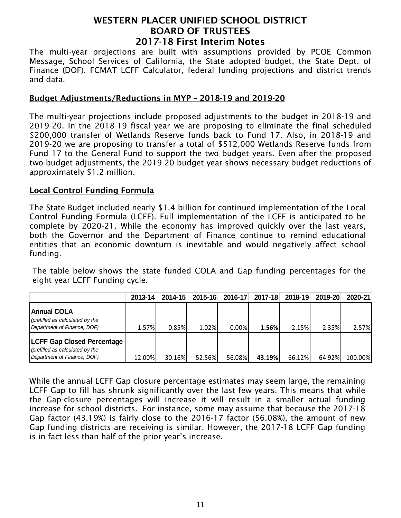The multi-year projections are built with assumptions provided by PCOE Common Message, School Services of California, the State adopted budget, the State Dept. of Finance (DOF), FCMAT LCFF Calculator, federal funding projections and district trends and data.

## Budget Adjustments/Reductions in MYP – 2018-19 and 2019-20

The multi-year projections include proposed adjustments to the budget in 2018-19 and 2019-20. In the 2018-19 fiscal year we are proposing to eliminate the final scheduled \$200,000 transfer of Wetlands Reserve funds back to Fund 17. Also, in 2018-19 and 2019-20 we are proposing to transfer a total of \$512,000 Wetlands Reserve funds from Fund 17 to the General Fund to support the two budget years. Even after the proposed two budget adjustments, the 2019-20 budget year shows necessary budget reductions of approximately \$1.2 million.

#### Local Control Funding Formula

The State Budget included nearly \$1.4 billion for continued implementation of the Local Control Funding Formula (LCFF). Full implementation of the LCFF is anticipated to be complete by 2020-21. While the economy has improved quickly over the last years, both the Governor and the Department of Finance continue to remind educational entities that an economic downturn is inevitable and would negatively affect school funding.

The table below shows the state funded COLA and Gap funding percentages for the eight year LCFF Funding cycle.

|                                                                                                     | 2013-14 | $2014 - 15$ | 2015-16 | 2016-17  | 2017-18 | 2018-19 | 2019-20 | 2020-21 |
|-----------------------------------------------------------------------------------------------------|---------|-------------|---------|----------|---------|---------|---------|---------|
| <b>Annual COLA</b><br>(prefilled as calculated by the<br>Department of Finance, DOF)                | 1.57%   | 0.85%       | 1.02%   | $0.00\%$ | 1.56%   | 2.15%   | 2.35%   | 2.57%   |
| <b>LCFF Gap Closed Percentage</b><br>(prefilled as calculated by the<br>Department of Finance, DOF) | 12.00%  | 30.16%      | 52.56%  | 56.08%   | 43.19%  | 66.12%  | 64.92%  | 100.00% |

While the annual LCFF Gap closure percentage estimates may seem large, the remaining LCFF Gap to fill has shrunk significantly over the last few years. This means that while the Gap-closure percentages will increase it will result in a smaller actual funding increase for school districts. For instance, some may assume that because the 2017-18 Gap factor (43.19%) is fairly close to the 2016-17 factor (56.08%), the amount of new Gap funding districts are receiving is similar. However, the 2017-18 LCFF Gap funding is in fact less than half of the prior year's increase.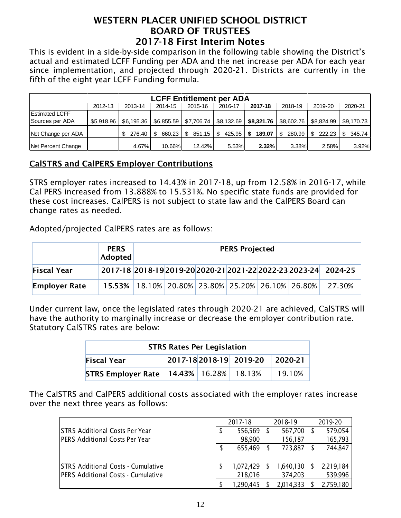This is evident in a side-by-side comparison in the following table showing the District's actual and estimated LCFF Funding per ADA and the net increase per ADA for each year since implementation, and projected through 2020-21. Districts are currently in the fifth of the eight year LCFF Funding formula.

| <b>LCFF Entitlement per ADA</b> |            |            |               |              |              |              |                   |                         |            |  |  |  |
|---------------------------------|------------|------------|---------------|--------------|--------------|--------------|-------------------|-------------------------|------------|--|--|--|
|                                 | 2012-13    | 2013-14    | 2014-15       | 2015-16      | 2016-17      | 2017-18      | 2018-19           | 2019-20                 | 2020-21    |  |  |  |
| <b>Estimated LCFF</b>           |            |            |               |              |              |              |                   |                         |            |  |  |  |
| Sources per ADA                 | \$5,918.96 | \$6.195.36 | \$6,855.59    | \$7,706.74   | \$8,132.69   | \$8,321.76   |                   | \$8,602.76   \$8,824.99 | \$9,170.73 |  |  |  |
| Net Change per ADA              |            | 276.40     | 660.23<br>-\$ | -S<br>851.15 | 425.95<br>-S | 189.07<br>S. | 280.99   \$<br>\$ |                         | 345.74     |  |  |  |
| Net Percent Change              |            | 4.67%      | 10.66%        | 12.42%       | 5.53%        | 2.32%        | 3.38%             | 2.58%                   | 3.92%      |  |  |  |

## CalSTRS and CalPERS Employer Contributions

STRS employer rates increased to 14.43% in 2017-18, up from 12.58% in 2016-17, while Cal PERS increased from 13.888% to 15.531%. No specific state funds are provided for these cost increases. CalPERS is not subject to state law and the CalPERS Board can change rates as needed.

Adopted/projected CalPERS rates are as follows:

|                      | <b>PERS</b><br>Adopted                                          | <b>PERS Projected</b> |                                                                 |  |  |  |  |        |  |
|----------------------|-----------------------------------------------------------------|-----------------------|-----------------------------------------------------------------|--|--|--|--|--------|--|
| <b>Fiscal Year</b>   |                                                                 |                       | 2017-18 2018-19 2019-20 2020-21 2021-22 2022-23 2023-24 2024-25 |  |  |  |  |        |  |
| <b>Employer Rate</b> | $15.53\%$   18.10%   20.80%   23.80%   25.20%   26.10%   26.80% |                       |                                                                 |  |  |  |  | 27.30% |  |

Under current law, once the legislated rates through 2020-21 are achieved, CalSTRS will have the authority to marginally increase or decrease the employer contribution rate. Statutory CalSTRS rates are below:

| <b>STRS Rates Per Legislation</b>                        |  |                                   |  |        |  |  |  |  |  |
|----------------------------------------------------------|--|-----------------------------------|--|--------|--|--|--|--|--|
| 2017-18 2018-19 2019-20<br><b>Fiscal Year</b><br>2020-21 |  |                                   |  |        |  |  |  |  |  |
| <b>STRS Employer Rate</b>                                |  | $14.43\%$   $16.28\%$   $18.13\%$ |  | 19.10% |  |  |  |  |  |

The CalSTRS and CalPERS additional costs associated with the employer rates increase over the next three years as follows:

|                                                                                 | 2017-18              |   | 2018-19              |   | 2019-20              |  |
|---------------------------------------------------------------------------------|----------------------|---|----------------------|---|----------------------|--|
| ISTRS Additional Costs Per Year                                                 | 556,569              |   | 567,700              |   | 579,054              |  |
| <b>PERS Additional Costs Per Year</b>                                           | 98,900               |   | 156,187              |   | 165,793              |  |
|                                                                                 | 655,469              |   | 723,887              |   | 744,847              |  |
| <b>STRS Additional Costs - Cumulative</b><br>PERS Additional Costs - Cumulative | 1,072,429<br>218,016 | S | 1,640,130<br>374,203 | S | 2,219,184<br>539,996 |  |
|                                                                                 | 1,290,445            |   | 2,014,333            |   | 2,759,180            |  |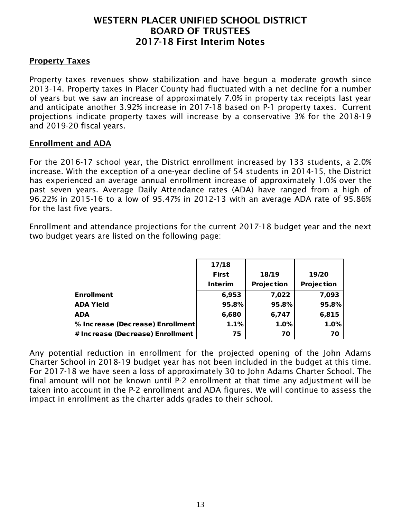#### **Property Taxes**

Property taxes revenues show stabilization and have begun a moderate growth since 2013-14. Property taxes in Placer County had fluctuated with a net decline for a number of years but we saw an increase of approximately 7.0% in property tax receipts last year and anticipate another 3.92% increase in 2017-18 based on P-1 property taxes. Current projections indicate property taxes will increase by a conservative 3% for the 2018-19 and 2019-20 fiscal years.

#### Enrollment and ADA

For the 2016-17 school year, the District enrollment increased by 133 students, a 2.0% increase. With the exception of a one-year decline of 54 students in 2014-15, the District has experienced an average annual enrollment increase of approximately 1.0% over the past seven years. Average Daily Attendance rates (ADA) have ranged from a high of 96.22% in 2015-16 to a low of 95.47% in 2012-13 with an average ADA rate of 95.86% for the last five years.

Enrollment and attendance projections for the current 2017-18 budget year and the next two budget years are listed on the following page:

|                                  | 17/18        |            |            |
|----------------------------------|--------------|------------|------------|
|                                  | <b>First</b> | 18/19      | 19/20      |
|                                  | Interim      | Projection | Projection |
| <b>Enrollment</b>                | 6,953        | 7,022      | 7,093      |
| <b>ADA Yield</b>                 | 95.8%        | 95.8%      | 95.8%      |
| <b>ADA</b>                       | 6,680        | 6,747      | 6,815      |
| % Increase (Decrease) Enrollment | 1.1%         | 1.0%       | 1.0%       |
| # Increase (Decrease) Enrollment | 75           | 70         | 70         |

Any potential reduction in enrollment for the projected opening of the John Adams Charter School in 2018-19 budget year has not been included in the budget at this time. For 2017-18 we have seen a loss of approximately 30 to John Adams Charter School. The final amount will not be known until P-2 enrollment at that time any adjustment will be taken into account in the P-2 enrollment and ADA figures. We will continue to assess the impact in enrollment as the charter adds grades to their school.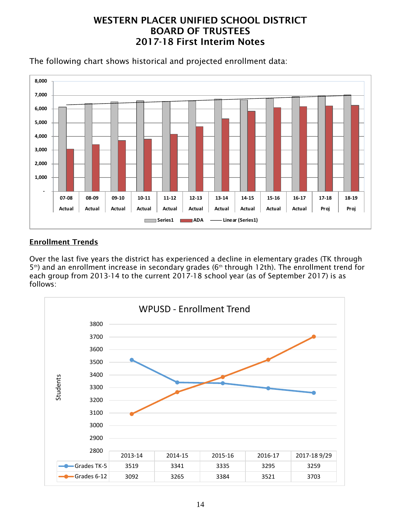



## Enrollment Trends

Over the last five years the district has experienced a decline in elementary grades (TK through  $5<sup>th</sup>$ ) and an enrollment increase in secondary grades ( $6<sup>th</sup>$  through 12th). The enrollment trend for each group from 2013-14 to the current 2017-18 school year (as of September 2017) is as follows:

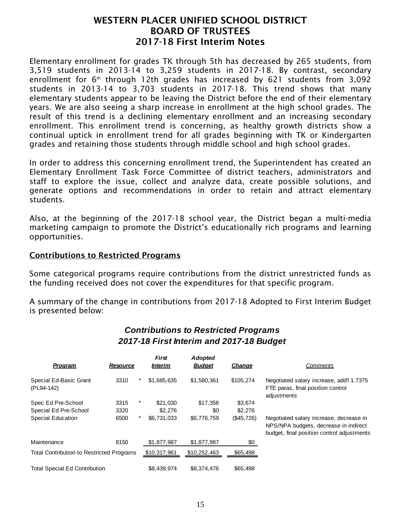Elementary enrollment for grades TK through 5th has decreased by 265 students, from 3,519 students in 2013-14 to 3,259 students in 2017-18. By contrast, secondary enrollment for  $6<sup>th</sup>$  through 12th grades has increased by 621 students from 3,092 students in 2013-14 to 3,703 students in 2017-18. This trend shows that many elementary students appear to be leaving the District before the end of their elementary years. We are also seeing a sharp increase in enrollment at the high school grades. The result of this trend is a declining elementary enrollment and an increasing secondary enrollment. This enrollment trend is concerning, as healthy growth districts show a continual uptick in enrollment trend for all grades beginning with TK or Kindergarten grades and retaining those students through middle school and high school grades.

In order to address this concerning enrollment trend, the Superintendent has created an Elementary Enrollment Task Force Committee of district teachers, administrators and staff to explore the issue, collect and analyze data, create possible solutions, and generate options and recommendations in order to retain and attract elementary students.

Also, at the beginning of the 2017-18 school year, the District began a multi-media marketing campaign to promote the District's educationally rich programs and learning opportunities.

#### Contributions to Restricted Programs

Some categorical programs require contributions from the district unrestricted funds as the funding received does not cover the expenditures for that specific program.

A summary of the change in contributions from 2017-18 Adopted to First Interim Budget is presented below:

| Program                                          | <b>Resource</b> |   | <b>First</b><br><i><b>Interim</b></i> | <b>Adopted</b><br><b>Budget</b> | Change     | Comments                                                                                                                       |
|--------------------------------------------------|-----------------|---|---------------------------------------|---------------------------------|------------|--------------------------------------------------------------------------------------------------------------------------------|
| Special Ed-Basic Grant<br>(PL94-142)             | 3310            | * | \$1,685,635                           | \$1,580,361                     | \$105,274  | Negotiated salary increase, add'l 1.7375<br>FTE paras, final position control<br>adjustments                                   |
| Spec Ed Pre-School                               | 3315            | * | \$21.030                              | \$17,356                        | \$3,674    |                                                                                                                                |
| Special Ed Pre-School                            | 3320            |   | \$2,276                               | \$0                             | \$2,276    |                                                                                                                                |
| <b>Special Education</b>                         | 6500            | * | \$6,731,033                           | \$6,776,759                     | (\$45,726) | Negotiated salary increase, decrease in<br>NPS/NPA budgets, decrease in indirect<br>budget, final position control adjustments |
| Maintenance                                      | 8150            |   | \$1,877,987                           | \$1,877,987                     | \$0        |                                                                                                                                |
| <b>Total Contribution to Restricted Programs</b> |                 |   | \$10,317,961                          | \$10,252,463                    | \$65,498   |                                                                                                                                |
| <b>Total Special Ed Contribution</b>             |                 |   | \$8,439,974                           | \$8,374,476                     | \$65,498   |                                                                                                                                |

## *Contributions to Restricted Programs 2017-18 First Interim and 2017-18 Budget*